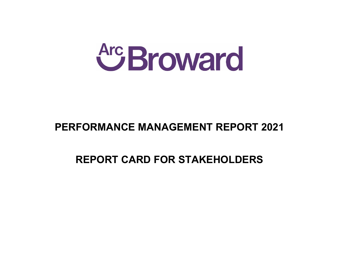

# **PERFORMANCE MANAGEMENT REPORT 2021**

# **REPORT CARD FOR STAKEHOLDERS**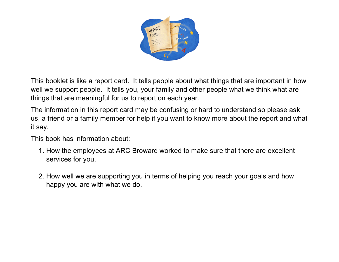

This booklet is like a report card. It tells people about what things that are important in how well we support people. It tells you, your family and other people what we think what are things that are meaningful for us to report on each year.

The information in this report card may be confusing or hard to understand so please ask us, a friend or a family member for help if you want to know more about the report and what it say.

This book has information about:

- 1. How the employees at ARC Broward worked to make sure that there are excellent services for you.
- 2. How well we are supporting you in terms of helping you reach your goals and how happy you are with what we do.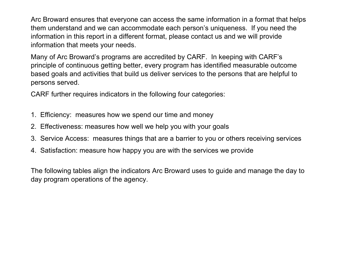Arc Broward ensures that everyone can access the same information in a format that helps them understand and we can accommodate each person's uniqueness. If you need the information in this report in a different format, please contact us and we will provide information that meets your needs.

Many of Arc Broward's programs are accredited by CARF. In keeping with CARF's principle of continuous getting better, every program has identified measurable outcome based goals and activities that build us deliver services to the persons that are helpful to persons served.

CARF further requires indicators in the following four categories:

- 1. Efficiency: measures how we spend our time and money
- 2. Effectiveness: measures how well we help you with your goals
- 3. Service Access: measures things that are a barrier to you or others receiving services
- 4. Satisfaction: measure how happy you are with the services we provide

The following tables align the indicators Arc Broward uses to guide and manage the day to day program operations of the agency.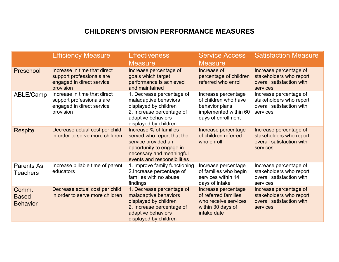# **CHILDREN'S DIVISION PERFORMANCE MEASURES**

|                                          | <b>Efficiency Measure</b>                                                                           | <b>Effectiveness</b><br><b>Measure</b>                                                                                                                             | <b>Service Access</b><br><b>Measure</b>                                                                      | <b>Satisfaction Measure</b>                                                                |
|------------------------------------------|-----------------------------------------------------------------------------------------------------|--------------------------------------------------------------------------------------------------------------------------------------------------------------------|--------------------------------------------------------------------------------------------------------------|--------------------------------------------------------------------------------------------|
| Preschool                                | Increase in time that direct<br>support professionals are<br>engaged in direct service<br>provision | Increase percentage of<br>goals which target<br>performance is achieved<br>and maintained                                                                          | Increase of<br>percentage of children<br>referred who enroll                                                 | Increase percentage of<br>stakeholders who report<br>overall satisfaction with<br>services |
| ABLE/Camp                                | Increase in time that direct<br>support professionals are<br>engaged in direct service<br>provision | 1. Decrease percentage of<br>maladaptive behaviors<br>displayed by children<br>2. Increase percentage of<br>adaptive behaviors<br>displayed by children            | Increase percentage<br>of children who have<br>behavior plans<br>implemented within 60<br>days of enrollment | Increase percentage of<br>stakeholders who report<br>overall satisfaction with<br>services |
| <b>Respite</b>                           | Decrease actual cost per child<br>in order to serve more children                                   | Increase % of families<br>served who report that the<br>service provided an<br>opportunity to engage in<br>necessary and meaningful<br>events and responsibilities | Increase percentage<br>of children referred<br>who enroll                                                    | Increase percentage of<br>stakeholders who report<br>overall satisfaction with<br>services |
| <b>Parents As</b><br><b>Teachers</b>     | Increase billable time of parent<br>educators                                                       | 1. Improve family functioning<br>2. Increase percentage of<br>families with no abuse<br>findings                                                                   | Increase percentage<br>of families who begin<br>services within 14<br>days of intake                         | Increase percentage of<br>stakeholders who report<br>overall satisfaction with<br>services |
| Comm.<br><b>Based</b><br><b>Behavior</b> | Decrease actual cost per child<br>in order to serve more children                                   | 1. Decrease percentage of<br>maladaptive behaviors<br>displayed by children<br>2. Increase percentage of<br>adaptive behaviors<br>displayed by children            | Increase percentage<br>of referred families<br>who receive services<br>within 30 days of<br>intake date      | Increase percentage of<br>stakeholders who report<br>overall satisfaction with<br>services |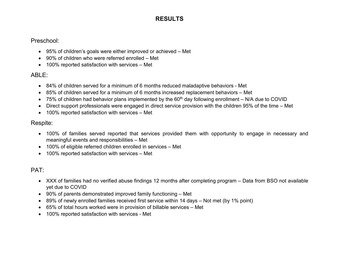### **RESULTS**

### Preschool:

- 95% of children's goals were either improved or achieved Met
- 90% of children who were referred enrolled Met
- 100% reported satisfaction with services Met

### ABLE:

- 84% of children served for a minimum of 6 months reduced maladaptive behaviors Met
- 85% of children served for a minimum of 6 months increased replacement behaviors Met
- 75% of children had behavior plans implemented by the  $60<sup>th</sup>$  day following enrollment N/A due to COVID
- Direct support professionals were engaged in direct service provision with the children 95% of the time Met
- 100% reported satisfaction with services Met

#### Respite:

- 100% of families served reported that services provided them with opportunity to engage in necessary and meaningful events and responsibilities – Met
- 100% of eligible referred children enrolled in services Met
- 100% reported satisfaction with services Met

## PAT:

- XXX of families had no verified abuse findings 12 months after completing program Data from BSO not available yet due to COVID
- 90% of parents demonstrated improved family functioning Met
- 89% of newly enrolled families received first service within 14 days Not met (by 1% point)
- 65% of total hours worked were in provision of billable services Met
- 100% reported satisfaction with services Met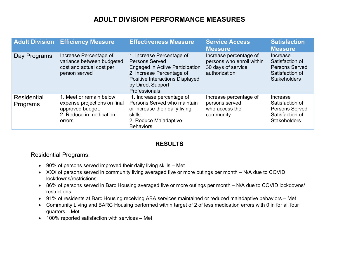# **ADULT DIVISION PERFORMANCE MEASURES**

|                                | <b>Adult Division Efficiency Measure</b>                                                                         | <b>Effectiveness Measure</b>                                                                                                                                                                              | <b>Service Access</b><br><b>Measure</b>                                                    | <b>Satisfaction</b><br><b>Measure</b>                                                          |
|--------------------------------|------------------------------------------------------------------------------------------------------------------|-----------------------------------------------------------------------------------------------------------------------------------------------------------------------------------------------------------|--------------------------------------------------------------------------------------------|------------------------------------------------------------------------------------------------|
| Day Programs                   | Increase Percentage of<br>variance between budgeted<br>cost and actual cost per<br>person served                 | 1. Increase Percentage of<br><b>Persons Served</b><br><b>Engaged in Active Participation</b><br>2. Increase Percentage of<br><b>Positive Interactions Displayed</b><br>by Direct Support<br>Professionals | Increase percentage of<br>persons who enroll within<br>30 days of service<br>authorization | Increase<br>Satisfaction of<br><b>Persons Served</b><br>Satisfaction of<br><b>Stakeholders</b> |
| <b>Residential</b><br>Programs | 1. Meet or remain below<br>expense projections on final<br>approved budget.<br>2. Reduce in medication<br>errors | 1. Increase percentage of<br>Persons Served who maintain<br>or increase their daily living<br>skills.<br>2. Reduce Maladaptive<br><b>Behaviors</b>                                                        | Increase percentage of<br>persons served<br>who access the<br>community                    | Increase<br>Satisfaction of<br><b>Persons Served</b><br>Satisfaction of<br><b>Stakeholders</b> |

### **RESULTS**

#### Residential Programs:

- 90% of persons served improved their daily living skills Met
- XXX of persons served in community living averaged five or more outings per month N/A due to COVID lockdowns/restrictions
- 86% of persons served in Barc Housing averaged five or more outings per month N/A due to COVID lockdowns/ restrictions
- 91% of residents at Barc Housing receiving ABA services maintained or reduced maladaptive behaviors Met
- Community Living and BARC Housing performed within target of 2 of less medication errors with 0 in for all four quarters – Met
- 100% reported satisfaction with services Met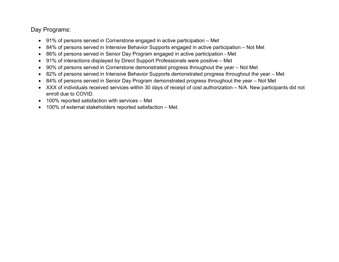Day Programs:

- 91% of persons served in Cornerstone engaged in active participation Met
- 84% of persons served in Intensive Behavior Supports engaged in active participation Not Met
- 86% of persons served in Senior Day Program engaged in active participation Met
- 91% of interactions displayed by Direct Support Professionals were positive Met
- 90% of persons served in Cornerstone demonstrated progress throughout the year Not Met
- 82% of persons served in Intensive Behavior Supports demonstrated progress throughout the year Met
- 84% of persons served in Senior Day Program demonstrated progress throughout the year Not Met
- XXX of individuals received services within 30 days of receipt of cost authorization N/A. New participants did not enroll due to COVID.
- 100% reported satisfaction with services Met
- 100% of external stakeholders reported satisfaction Met.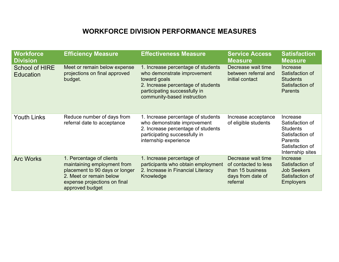# **WORKFORCE DIVISION PERFORMANCE MEASURES**

| <b>Workforce</b><br><b>Division</b>       | <b>Efficiency Measure</b>                                                                                                                                               | <b>Effectiveness Measure</b>                                                                                                                                                            | <b>Service Access</b><br><b>Measure</b>                                                         | <b>Satisfaction</b><br><b>Measure</b>                                                                                      |
|-------------------------------------------|-------------------------------------------------------------------------------------------------------------------------------------------------------------------------|-----------------------------------------------------------------------------------------------------------------------------------------------------------------------------------------|-------------------------------------------------------------------------------------------------|----------------------------------------------------------------------------------------------------------------------------|
| <b>School of HIRE</b><br><b>Education</b> | Meet or remain below expense<br>projections on final approved<br>budget.                                                                                                | 1. Increase percentage of students<br>who demonstrate improvement<br>toward goals<br>2. Increase percentage of students<br>participating successfully in<br>community-based instruction | Decrease wait time<br>between referral and<br>initial contact                                   | Increase<br>Satisfaction of<br><b>Students</b><br>Satisfaction of<br><b>Parents</b>                                        |
| <b>Youth Links</b>                        | Reduce number of days from<br>referral date to acceptance                                                                                                               | 1. Increase percentage of students<br>who demonstrate improvement<br>2. Increase percentage of students<br>participating successfully in<br>internship experience                       | Increase acceptance<br>of eligible students                                                     | Increase<br>Satisfaction of<br><b>Students</b><br>Satisfaction of<br><b>Parents</b><br>Satisfaction of<br>Internship sites |
| <b>Arc Works</b>                          | 1. Percentage of clients<br>maintaining employment from<br>placement to 90 days or longer<br>2. Meet or remain below<br>expense projections on final<br>approved budget | 1. Increase percentage of<br>participants who obtain employment<br>2. Increase in Financial Literacy<br>Knowledge                                                                       | Decrease wait time<br>of contacted to less<br>than 15 business<br>days from date of<br>referral | Increase<br>Satisfaction of<br><b>Job Seekers</b><br>Satisfaction of<br><b>Employers</b>                                   |